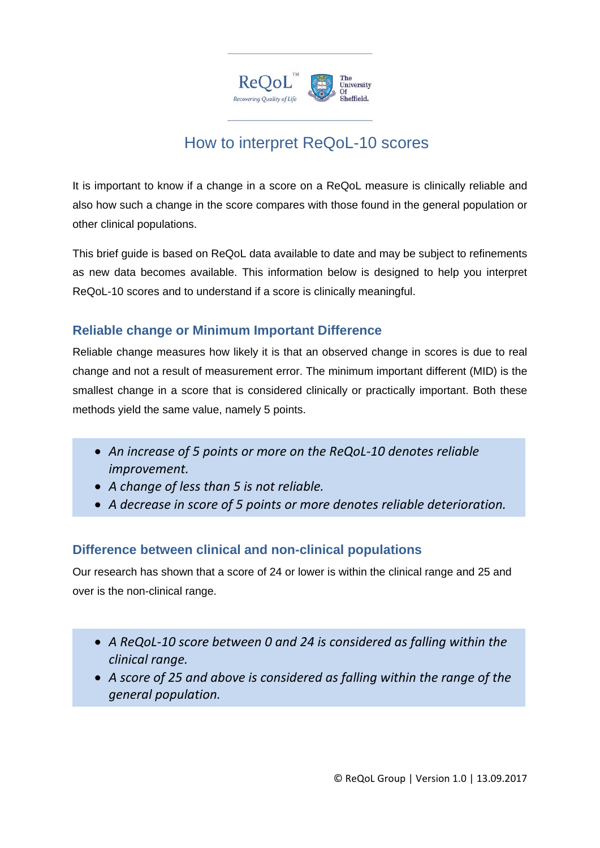

# How to interpret ReQoL-10 scores

It is important to know if a change in a score on a ReQoL measure is clinically reliable and also how such a change in the score compares with those found in the general population or other clinical populations.

This brief guide is based on ReQoL data available to date and may be subject to refinements as new data becomes available. This information below is designed to help you interpret ReQoL-10 scores and to understand if a score is clinically meaningful.

## **Reliable change or Minimum Important Difference**

Reliable change measures how likely it is that an observed change in scores is due to real change and not a result of measurement error. The minimum important different (MID) is the smallest change in a score that is considered clinically or practically important. Both these methods yield the same value, namely 5 points.

- *An increase of 5 points or more on the ReQoL-10 denotes reliable improvement.*
- *A change of less than 5 is not reliable.*
- *A decrease in score of 5 points or more denotes reliable deterioration.*

### **Difference between clinical and non-clinical populations**

Our research has shown that a score of 24 or lower is within the clinical range and 25 and over is the non-clinical range.

- *A ReQoL-10 score between 0 and 24 is considered as falling within the clinical range.*
- *A score of 25 and above is considered as falling within the range of the general population.*